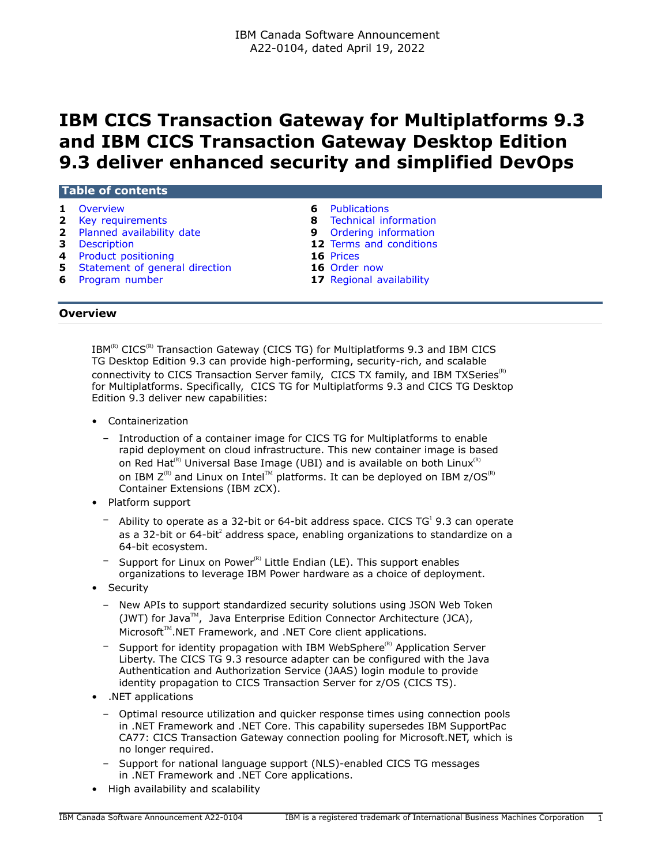# **IBM CICS Transaction Gateway for Multiplatforms 9.3 and IBM CICS Transaction Gateway Desktop Edition 9.3 deliver enhanced security and simplified DevOps**

| Overview                         | Publications<br>6             |
|----------------------------------|-------------------------------|
| 2 Key requirements               | 8 Technical information       |
| 2 Planned availability date      | <b>9</b> Ordering information |
| <b>3</b> Description             | 12 Terms and conditions       |
| 4 Product positioning            | 16 Prices                     |
| 5 Statement of general direction | 16 Order now                  |
| 6 Program number                 | 17 Regional availability      |

# <span id="page-0-0"></span>**Overview**

 $IBM^{(R)}$  CICS<sup>(R)</sup> Transaction Gateway (CICS TG) for Multiplatforms 9.3 and IBM CICS TG Desktop Edition 9.3 can provide high-performing, security-rich, and scalable connectivity to CICS Transaction Server family, CICS TX family, and IBM TXSeries<sup>(R)</sup> for Multiplatforms. Specifically, CICS TG for Multiplatforms 9.3 and CICS TG Desktop Edition 9.3 deliver new capabilities:

- Containerization
	- Introduction of a container image for CICS TG for Multiplatforms to enable rapid deployment on cloud infrastructure. This new container image is based on Red Hat<sup>(R)</sup> Universal Base Image (UBI) and is available on both Linux<sup>(R)</sup> on IBM  $Z^{(R)}$  and Linux on Intel<sup>TM</sup> platforms. It can be deployed on IBM  $z/OS^{(R)}$ Container Extensions (IBM zCX).
- Platform support
	- $-$  Ability to operate as a 32-bit or 64-bit address space. CICS TG<sup>1</sup> 9.3 can operate as a 32-bit or 64-bit<sup>2</sup> address space, enabling organizations to standardize on a 64-bit ecosystem.
	- Support for Linux on Power $R$ <sup>2</sup> Little Endian (LE). This support enables organizations to leverage IBM Power hardware as a choice of deployment.
- **Security** 
	- New APIs to support standardized security solutions using JSON Web Token (JWT) for Java<sup>TM</sup>, Java Enterprise Edition Connector Architecture (JCA), Microsoft<sup>™</sup>.NET Framework, and .NET Core client applications.
	- $-$  Support for identity propagation with IBM WebSphere<sup>(R)</sup> Application Server Liberty. The CICS TG 9.3 resource adapter can be configured with the Java Authentication and Authorization Service (JAAS) login module to provide identity propagation to CICS Transaction Server for z/OS (CICS TS).
- .NET applications
	- Optimal resource utilization and quicker response times using connection pools in .NET Framework and .NET Core. This capability supersedes IBM SupportPac CA77: CICS Transaction Gateway connection pooling for Microsoft.NET, which is no longer required.
	- Support for national language support (NLS)-enabled CICS TG messages in .NET Framework and .NET Core applications.
- High availability and scalability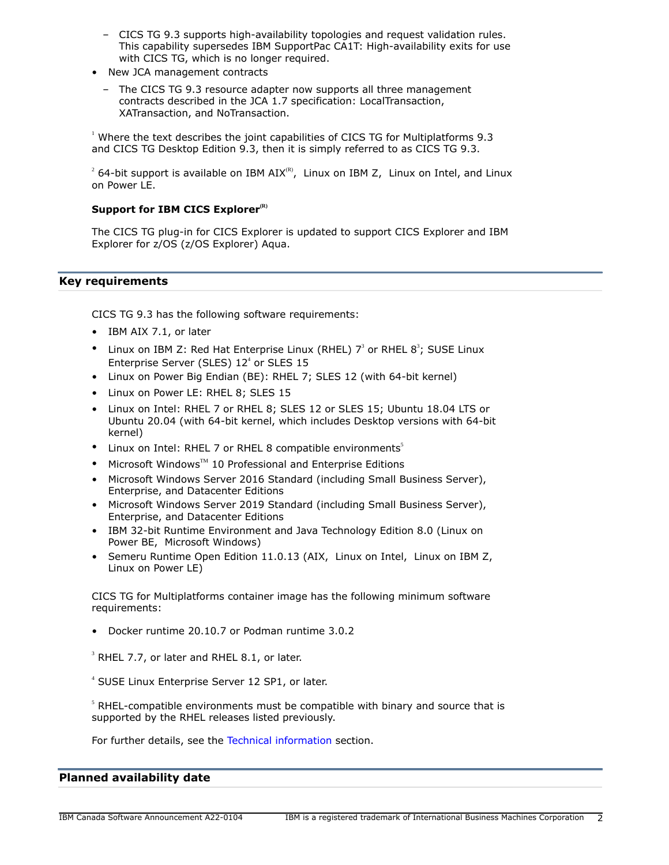- CICS TG 9.3 supports high-availability topologies and request validation rules. This capability supersedes IBM SupportPac CA1T: High-availability exits for use with CICS TG, which is no longer required.
- New JCA management contracts
	- The CICS TG 9.3 resource adapter now supports all three management contracts described in the JCA 1.7 specification: LocalTransaction, XATransaction, and NoTransaction.

1 Where the text describes the joint capabilities of CICS TG for Multiplatforms 9.3 and CICS TG Desktop Edition 9.3, then it is simply referred to as CICS TG 9.3.

 $^2$  64-bit support is available on IBM AIX<sup>(R)</sup>, Linux on IBM Z, Linux on Intel, and Linux on Power LE.

# **Support for IBM CICS Explorer(R)**

The CICS TG plug-in for CICS Explorer is updated to support CICS Explorer and IBM Explorer for z/OS (z/OS Explorer) Aqua.

# <span id="page-1-0"></span>**Key requirements**

CICS TG 9.3 has the following software requirements:

- IBM AIX 7.1, or later
- Linux on IBM Z: Red Hat Enterprise Linux (RHEL)  $7^3$  or RHEL  $8^3$ ; SUSE Linux Enterprise Server (SLES)  $12<sup>4</sup>$  or SLES  $15$
- Linux on Power Big Endian (BE): RHEL 7; SLES 12 (with 64-bit kernel)
- Linux on Power LE: RHEL 8; SLES 15
- Linux on Intel: RHEL 7 or RHEL 8; SLES 12 or SLES 15; Ubuntu 18.04 LTS or Ubuntu 20.04 (with 64-bit kernel, which includes Desktop versions with 64-bit kernel)
- Linux on Intel: RHEL 7 or RHEL 8 compatible environments<sup>5</sup>
- Microsoft Windows™ 10 Professional and Enterprise Editions
- Microsoft Windows Server 2016 Standard (including Small Business Server), Enterprise, and Datacenter Editions
- Microsoft Windows Server 2019 Standard (including Small Business Server), Enterprise, and Datacenter Editions
- IBM 32-bit Runtime Environment and Java Technology Edition 8.0 (Linux on Power BE, Microsoft Windows)
- Semeru Runtime Open Edition 11.0.13 (AIX, Linux on Intel, Linux on IBM Z, Linux on Power LE)

CICS TG for Multiplatforms container image has the following minimum software requirements:

• Docker runtime 20.10.7 or Podman runtime 3.0.2

 $3$  RHEL 7.7, or later and RHEL 8.1, or later.

4 SUSE Linux Enterprise Server 12 SP1, or later.

 $<sup>5</sup>$  RHEL-compatible environments must be compatible with binary and source that is</sup> supported by the RHEL releases listed previously.

For further details, see the [Technical information](#page-7-0) section.

# <span id="page-1-1"></span>**Planned availability date**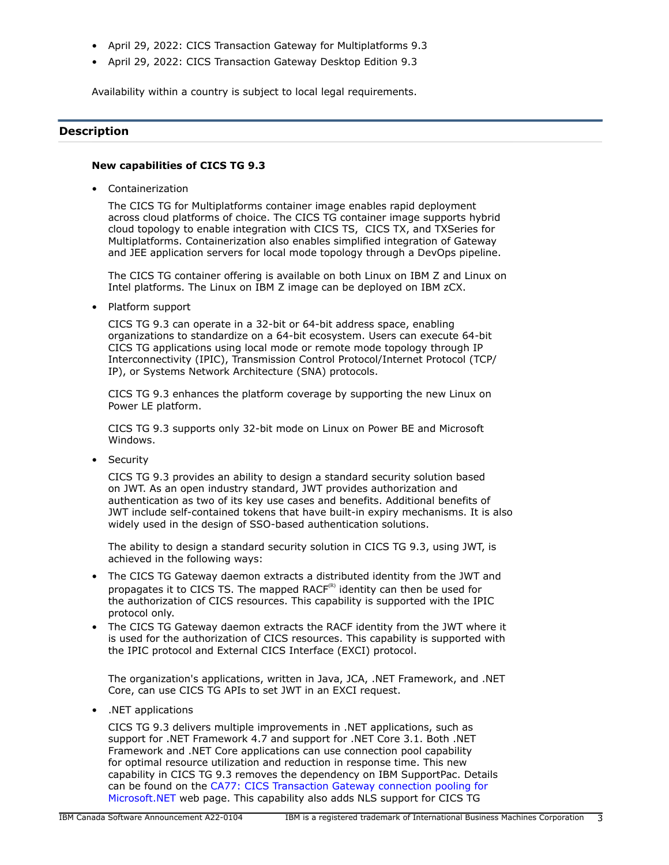- April 29, 2022: CICS Transaction Gateway for Multiplatforms 9.3
- April 29, 2022: CICS Transaction Gateway Desktop Edition 9.3

Availability within a country is subject to local legal requirements.

# <span id="page-2-0"></span>**Description**

## **New capabilities of CICS TG 9.3**

• Containerization

The CICS TG for Multiplatforms container image enables rapid deployment across cloud platforms of choice. The CICS TG container image supports hybrid cloud topology to enable integration with CICS TS, CICS TX, and TXSeries for Multiplatforms. Containerization also enables simplified integration of Gateway and JEE application servers for local mode topology through a DevOps pipeline.

The CICS TG container offering is available on both Linux on IBM Z and Linux on Intel platforms. The Linux on IBM Z image can be deployed on IBM zCX.

• Platform support

CICS TG 9.3 can operate in a 32-bit or 64-bit address space, enabling organizations to standardize on a 64-bit ecosystem. Users can execute 64-bit CICS TG applications using local mode or remote mode topology through IP Interconnectivity (IPIC), Transmission Control Protocol/Internet Protocol (TCP/ IP), or Systems Network Architecture (SNA) protocols.

CICS TG 9.3 enhances the platform coverage by supporting the new Linux on Power LE platform.

CICS TG 9.3 supports only 32-bit mode on Linux on Power BE and Microsoft Windows.

• Security

CICS TG 9.3 provides an ability to design a standard security solution based on JWT. As an open industry standard, JWT provides authorization and authentication as two of its key use cases and benefits. Additional benefits of JWT include self-contained tokens that have built-in expiry mechanisms. It is also widely used in the design of SSO-based authentication solutions.

The ability to design a standard security solution in CICS TG 9.3, using JWT, is achieved in the following ways:

- The CICS TG Gateway daemon extracts a distributed identity from the JWT and propagates it to CICS TS. The mapped RAC $F^{(R)}$  identity can then be used for the authorization of CICS resources. This capability is supported with the IPIC protocol only.
- The CICS TG Gateway daemon extracts the RACF identity from the JWT where it is used for the authorization of CICS resources. This capability is supported with the IPIC protocol and External CICS Interface (EXCI) protocol.

The organization's applications, written in Java, JCA, .NET Framework, and .NET Core, can use CICS TG APIs to set JWT in an EXCI request.

• .NET applications

CICS TG 9.3 delivers multiple improvements in .NET applications, such as support for .NET Framework 4.7 and support for .NET Core 3.1. Both .NET Framework and .NET Core applications can use connection pool capability for optimal resource utilization and reduction in response time. This new capability in CICS TG 9.3 removes the dependency on IBM SupportPac. Details can be found on the [CA77: CICS Transaction Gateway connection pooling for](https://www.ibm.com/support/pages/ca77-cics-transaction-gateway-connection-pooling-microsoft-net) [Microsoft.NET](https://www.ibm.com/support/pages/ca77-cics-transaction-gateway-connection-pooling-microsoft-net) web page. This capability also adds NLS support for CICS TG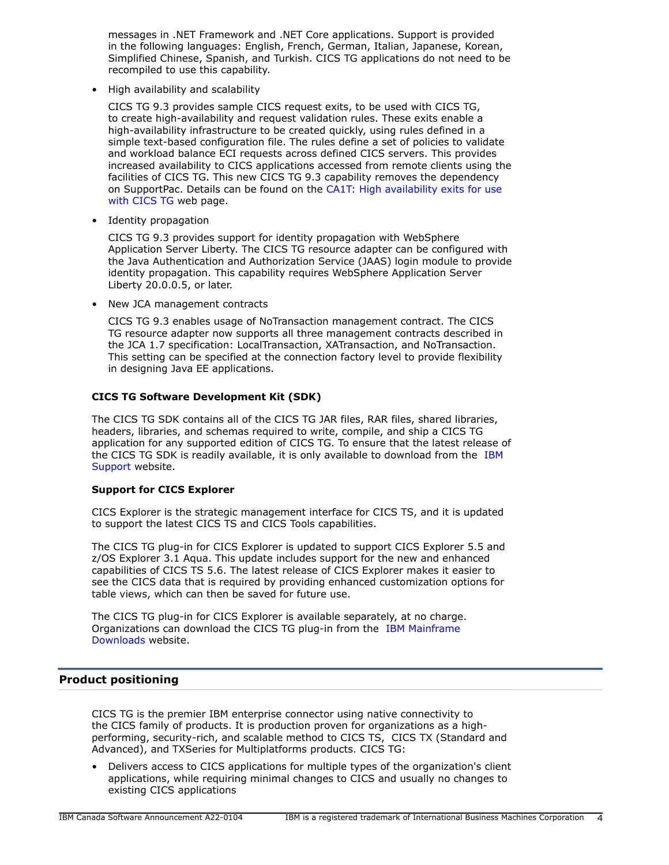messages in .NET Framework and .NET Core applications. Support is provided in the following languages: English, French, German, Italian, Japanese, Korean, Simplified Chinese, Spanish, and Turkish. CICS TG applications do not need to be recompiled to use this capability.

• High availability and scalability

CICS TG 9.3 provides sample CICS request exits, to be used with CICS TG, to create high-availability and request validation rules. These exits enable a high-availability infrastructure to be created quickly, using rules defined in a simple text-based configuration file. The rules define a set of policies to validate and workload balance ECI requests across defined CICS servers. This provides increased availability to CICS applications accessed from remote clients using the facilities of CICS TG. This new CICS TG 9.3 capability removes the dependency on SupportPac. Details can be found on the [CA1T: High availability exits for use](https://www.ibm.com/support/pages/ca1t-high-availability-exits-use-cics-tg) [with CICS TG](https://www.ibm.com/support/pages/ca1t-high-availability-exits-use-cics-tg) web page.

• Identity propagation

CICS TG 9.3 provides support for identity propagation with WebSphere Application Server Liberty. The CICS TG resource adapter can be configured with the Java Authentication and Authorization Service (JAAS) login module to provide identity propagation. This capability requires WebSphere Application Server Liberty 20.0.0.5, or later.

• New JCA management contracts

CICS TG 9.3 enables usage of NoTransaction management contract. The CICS TG resource adapter now supports all three management contracts described in the JCA 1.7 specification: LocalTransaction, XATransaction, and NoTransaction. This setting can be specified at the connection factory level to provide flexibility in designing Java EE applications.

# **CICS TG Software Development Kit (SDK)**

The CICS TG SDK contains all of the CICS TG JAR files, RAR files, shared libraries, headers, libraries, and schemas required to write, compile, and ship a CICS TG application for any supported edition of CICS TG. To ensure that the latest release of the CICS TG SDK is readily available, it is only available to download from the [IBM](https://www.ibm.com/support/pages/node/6217349) [Support](https://www.ibm.com/support/pages/node/6217349) website.

# **Support for CICS Explorer**

CICS Explorer is the strategic management interface for CICS TS, and it is updated to support the latest CICS TS and CICS Tools capabilities.

The CICS TG plug-in for CICS Explorer is updated to support CICS Explorer 5.5 and z/OS Explorer 3.1 Aqua. This update includes support for the new and enhanced capabilities of CICS TS 5.6. The latest release of CICS Explorer makes it easier to see the CICS data that is required by providing enhanced customization options for table views, which can then be saved for future use.

The CICS TG plug-in for CICS Explorer is available separately, at no charge. Organizations can download the CICS TG plug-in from the [IBM Mainframe](https://ibm.github.io/mainframe-downloads/) [Downloads](https://ibm.github.io/mainframe-downloads/) website.

# <span id="page-3-0"></span>**Product positioning**

CICS TG is the premier IBM enterprise connector using native connectivity to the CICS family of products. It is production proven for organizations as a highperforming, security-rich, and scalable method to CICS TS, CICS TX (Standard and Advanced), and TXSeries for Multiplatforms products. CICS TG:

• Delivers access to CICS applications for multiple types of the organization's client applications, while requiring minimal changes to CICS and usually no changes to existing CICS applications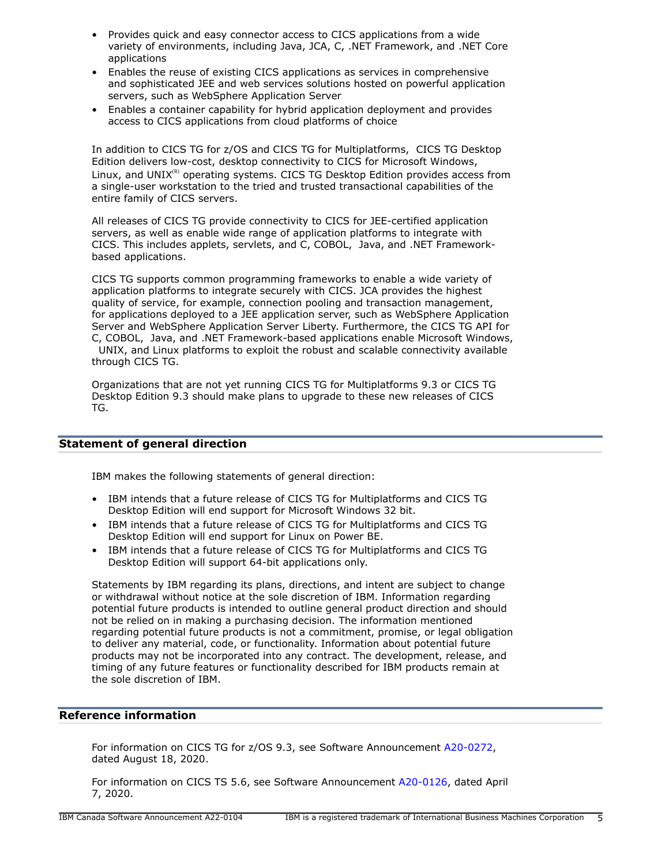- Provides quick and easy connector access to CICS applications from a wide variety of environments, including Java, JCA, C, .NET Framework, and .NET Core applications
- Enables the reuse of existing CICS applications as services in comprehensive and sophisticated JEE and web services solutions hosted on powerful application servers, such as WebSphere Application Server
- Enables a container capability for hybrid application deployment and provides access to CICS applications from cloud platforms of choice

In addition to CICS TG for z/OS and CICS TG for Multiplatforms, CICS TG Desktop Edition delivers low-cost, desktop connectivity to CICS for Microsoft Windows, Linux, and UNIX $<sup>(R)</sup>$  operating systems. CICS TG Desktop Edition provides access from</sup> a single-user workstation to the tried and trusted transactional capabilities of the entire family of CICS servers.

All releases of CICS TG provide connectivity to CICS for JEE-certified application servers, as well as enable wide range of application platforms to integrate with CICS. This includes applets, servlets, and C, COBOL, Java, and .NET Frameworkbased applications.

CICS TG supports common programming frameworks to enable a wide variety of application platforms to integrate securely with CICS. JCA provides the highest quality of service, for example, connection pooling and transaction management, for applications deployed to a JEE application server, such as WebSphere Application Server and WebSphere Application Server Liberty. Furthermore, the CICS TG API for C, COBOL, Java, and .NET Framework-based applications enable Microsoft Windows, UNIX, and Linux platforms to exploit the robust and scalable connectivity available through CICS TG.

Organizations that are not yet running CICS TG for Multiplatforms 9.3 or CICS TG Desktop Edition 9.3 should make plans to upgrade to these new releases of CICS TG.

# <span id="page-4-0"></span>**Statement of general direction**

IBM makes the following statements of general direction:

- IBM intends that a future release of CICS TG for Multiplatforms and CICS TG Desktop Edition will end support for Microsoft Windows 32 bit.
- IBM intends that a future release of CICS TG for Multiplatforms and CICS TG Desktop Edition will end support for Linux on Power BE.
- IBM intends that a future release of CICS TG for Multiplatforms and CICS TG Desktop Edition will support 64-bit applications only.

Statements by IBM regarding its plans, directions, and intent are subject to change or withdrawal without notice at the sole discretion of IBM. Information regarding potential future products is intended to outline general product direction and should not be relied on in making a purchasing decision. The information mentioned regarding potential future products is not a commitment, promise, or legal obligation to deliver any material, code, or functionality. Information about potential future products may not be incorporated into any contract. The development, release, and timing of any future features or functionality described for IBM products remain at the sole discretion of IBM.

# **Reference information**

For information on CICS TG for z/OS 9.3, see Software Announcement [A20-0272](http://www.ibm.com/common/ssi/cgi-bin/ssialias?infotype=an&subtype=ca&appname=gpateam&supplier=649&letternum=ENUSA20-0272), dated August 18, 2020.

For information on CICS TS 5.6, see Software Announcement [A20-0126,](http://www.ibm.com/common/ssi/cgi-bin/ssialias?infotype=an&subtype=ca&appname=gpateam&supplier=649&letternum=ENUSA20-0126) dated April 7, 2020.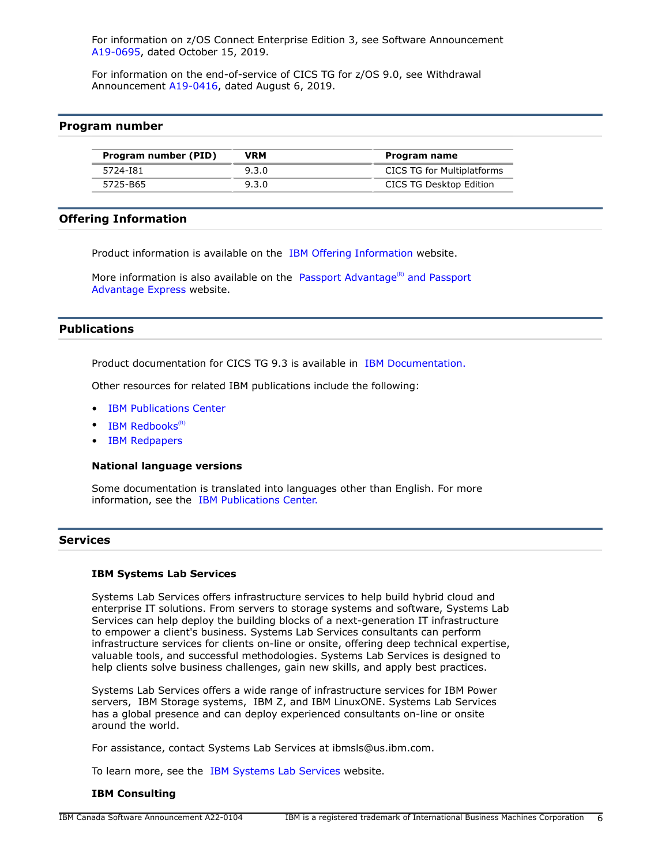For information on z/OS Connect Enterprise Edition 3, see Software Announcement [A19-0695,](http://www.ibm.com/common/ssi/cgi-bin/ssialias?infotype=an&subtype=ca&appname=gpateam&supplier=649&letternum=ENUSA19-0695) dated October 15, 2019.

For information on the end-of-service of CICS TG for z/OS 9.0, see Withdrawal Announcement [A19-0416](http://www.ibm.com/common/ssi/cgi-bin/ssialias?infotype=an&subtype=ca&appname=gpateam&supplier=649&letternum=ENUSA19-0416), dated August 6, 2019.

# <span id="page-5-1"></span>**Program number**

| Program number (PID)<br>VRM |       | Program name                      |
|-----------------------------|-------|-----------------------------------|
| 5724-181                    | 9.3.0 | <b>CICS TG for Multiplatforms</b> |
| 5725-B65                    | 9.3.0 | CICS TG Desktop Edition           |

# **Offering Information**

Product information is available on the [IBM Offering Information](http://www.ibm.com/common/ssi) website.

More information is also available on the [Passport Advantage](http://www.ibm.com/software/passportadvantage)<sup>(R)</sup> and Passport [Advantage Express](http://www.ibm.com/software/passportadvantage) website.

# <span id="page-5-0"></span>**Publications**

Product documentation for CICS TG 9.3 is available in [IBM Documentation.](https://www.ibm.com/docs/en/cics-tg-multi)

Other resources for related IBM publications include the following:

- [IBM Publications Center](https://www.ibm.com/resources/publications)
- $\bullet$  [IBM Redbooks](https://www.redbooks.ibm.com/)<sup>(R)</sup>
- [IBM Redpapers](https://www.redbooks.ibm.com/Redbooks.nsf/redpapers/)

#### **National language versions**

Some documentation is translated into languages other than English. For more information, see the [IBM Publications Center.](https://www.ibm.com/e-business/linkweb/publications/servlet/pbi.wss)

#### **Services**

#### **IBM Systems Lab Services**

Systems Lab Services offers infrastructure services to help build hybrid cloud and enterprise IT solutions. From servers to storage systems and software, Systems Lab Services can help deploy the building blocks of a next-generation IT infrastructure to empower a client's business. Systems Lab Services consultants can perform infrastructure services for clients on-line or onsite, offering deep technical expertise, valuable tools, and successful methodologies. Systems Lab Services is designed to help clients solve business challenges, gain new skills, and apply best practices.

Systems Lab Services offers a wide range of infrastructure services for IBM Power servers, IBM Storage systems, IBM Z, and IBM LinuxONE. Systems Lab Services has a global presence and can deploy experienced consultants on-line or onsite around the world.

For assistance, contact Systems Lab Services at ibmsls@us.ibm.com.

To learn more, see the [IBM Systems Lab Services](https://www.ibm.com/it-infrastructure/services/lab-services) website.

#### **IBM Consulting**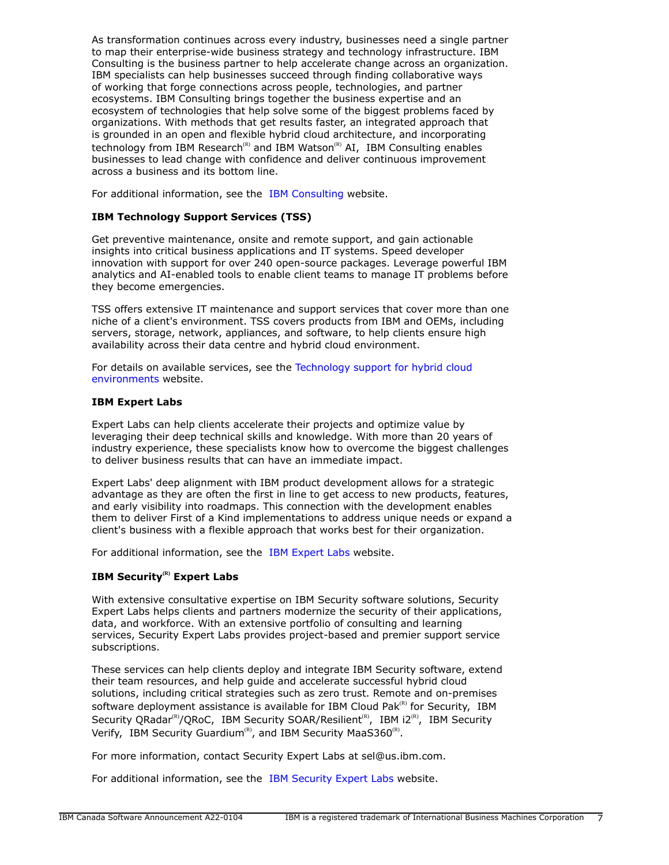As transformation continues across every industry, businesses need a single partner to map their enterprise-wide business strategy and technology infrastructure. IBM Consulting is the business partner to help accelerate change across an organization. IBM specialists can help businesses succeed through finding collaborative ways of working that forge connections across people, technologies, and partner ecosystems. IBM Consulting brings together the business expertise and an ecosystem of technologies that help solve some of the biggest problems faced by organizations. With methods that get results faster, an integrated approach that is grounded in an open and flexible hybrid cloud architecture, and incorporating technology from IBM Research<sup>(R)</sup> and IBM Watson<sup>(R)</sup> AI, IBM Consulting enables businesses to lead change with confidence and deliver continuous improvement across a business and its bottom line.

For additional information, see the [IBM Consulting](https://www.ibm.com/consulting) website.

# **IBM Technology Support Services (TSS)**

Get preventive maintenance, onsite and remote support, and gain actionable insights into critical business applications and IT systems. Speed developer innovation with support for over 240 open-source packages. Leverage powerful IBM analytics and AI-enabled tools to enable client teams to manage IT problems before they become emergencies.

TSS offers extensive IT maintenance and support services that cover more than one niche of a client's environment. TSS covers products from IBM and OEMs, including servers, storage, network, appliances, and software, to help clients ensure high availability across their data centre and hybrid cloud environment.

For details on available services, see the [Technology support for hybrid cloud](https://www.ibm.com/services/technology-support) [environments](https://www.ibm.com/services/technology-support) website.

# **IBM Expert Labs**

Expert Labs can help clients accelerate their projects and optimize value by leveraging their deep technical skills and knowledge. With more than 20 years of industry experience, these specialists know how to overcome the biggest challenges to deliver business results that can have an immediate impact.

Expert Labs' deep alignment with IBM product development allows for a strategic advantage as they are often the first in line to get access to new products, features, and early visibility into roadmaps. This connection with the development enables them to deliver First of a Kind implementations to address unique needs or expand a client's business with a flexible approach that works best for their organization.

For additional information, see the [IBM Expert Labs](https://www.ibm.com/products/expertlabs) website.

# **IBM Security(R) Expert Labs**

With extensive consultative expertise on IBM Security software solutions, Security Expert Labs helps clients and partners modernize the security of their applications, data, and workforce. With an extensive portfolio of consulting and learning services, Security Expert Labs provides project-based and premier support service subscriptions.

These services can help clients deploy and integrate IBM Security software, extend their team resources, and help guide and accelerate successful hybrid cloud solutions, including critical strategies such as zero trust. Remote and on-premises software deployment assistance is available for IBM Cloud Pak ${}^{\text{\tiny(R)}}$  for Security, IBM Security QRadar<sup>(R)</sup>/QRoC, IBM Security SOAR/Resilient<sup>(R)</sup>, IBM i2<sup>(R)</sup>, IBM Security Verify, IBM Security Guardium<sup>(R)</sup>, and IBM Security MaaS360<sup>(R)</sup>.

For more information, contact Security Expert Labs at sel@us.ibm.com.

For additional information, see the [IBM Security Expert Labs](https://www.ibm.com/security/security-expert-labs) website.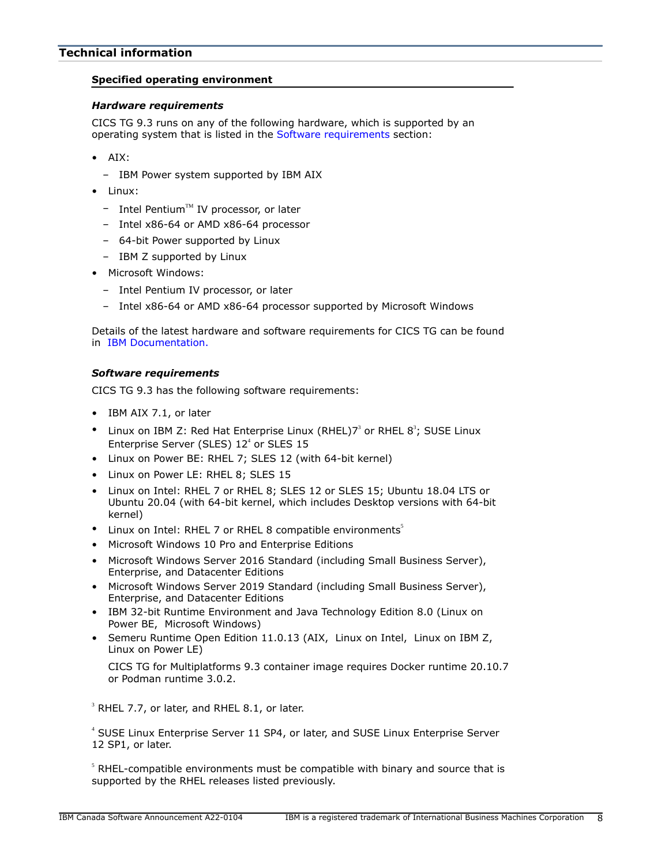# <span id="page-7-0"></span>**Specified operating environment**

# *Hardware requirements*

CICS TG 9.3 runs on any of the following hardware, which is supported by an operating system that is listed in the [Software requirements](#page-7-1) section:

- AIX:
	- IBM Power system supported by IBM AIX
- Linux:
	- $-$  Intel Pentium<sup>TM</sup> IV processor, or later
	- Intel x86-64 or AMD x86-64 processor
	- 64-bit Power supported by Linux
	- IBM Z supported by Linux
- Microsoft Windows:
	- Intel Pentium IV processor, or later
	- Intel x86-64 or AMD x86-64 processor supported by Microsoft Windows

Details of the latest hardware and software requirements for CICS TG can be found in [IBM Documentation.](https://www.ibm.com/docs/en/cics-tg-multi)

# <span id="page-7-1"></span>*Software requirements*

CICS TG 9.3 has the following software requirements:

- IBM AIX 7.1, or later
- Linux on IBM Z: Red Hat Enterprise Linux (RHEL) $7<sup>3</sup>$  or RHEL  $8<sup>3</sup>$ ; SUSE Linux Enterprise Server (SLES)  $12<sup>4</sup>$  or SLES  $15$
- Linux on Power BE: RHEL 7; SLES 12 (with 64-bit kernel)
- Linux on Power LE: RHEL 8; SLES 15
- Linux on Intel: RHEL 7 or RHEL 8; SLES 12 or SLES 15; Ubuntu 18.04 LTS or Ubuntu 20.04 (with 64-bit kernel, which includes Desktop versions with 64-bit kernel)
- Linux on Intel: RHEL 7 or RHEL 8 compatible environments<sup>5</sup>
- Microsoft Windows 10 Pro and Enterprise Editions
- Microsoft Windows Server 2016 Standard (including Small Business Server), Enterprise, and Datacenter Editions
- Microsoft Windows Server 2019 Standard (including Small Business Server), Enterprise, and Datacenter Editions
- IBM 32-bit Runtime Environment and Java Technology Edition 8.0 (Linux on Power BE, Microsoft Windows)
- Semeru Runtime Open Edition 11.0.13 (AIX, Linux on Intel, Linux on IBM Z, Linux on Power LE)

CICS TG for Multiplatforms 9.3 container image requires Docker runtime 20.10.7 or Podman runtime 3.0.2.

 $3$  RHEL 7.7, or later, and RHEL 8.1, or later.

<sup>4</sup> SUSE Linux Enterprise Server 11 SP4, or later, and SUSE Linux Enterprise Server 12 SP1, or later.

 $<sup>5</sup>$  RHEL-compatible environments must be compatible with binary and source that is</sup> supported by the RHEL releases listed previously.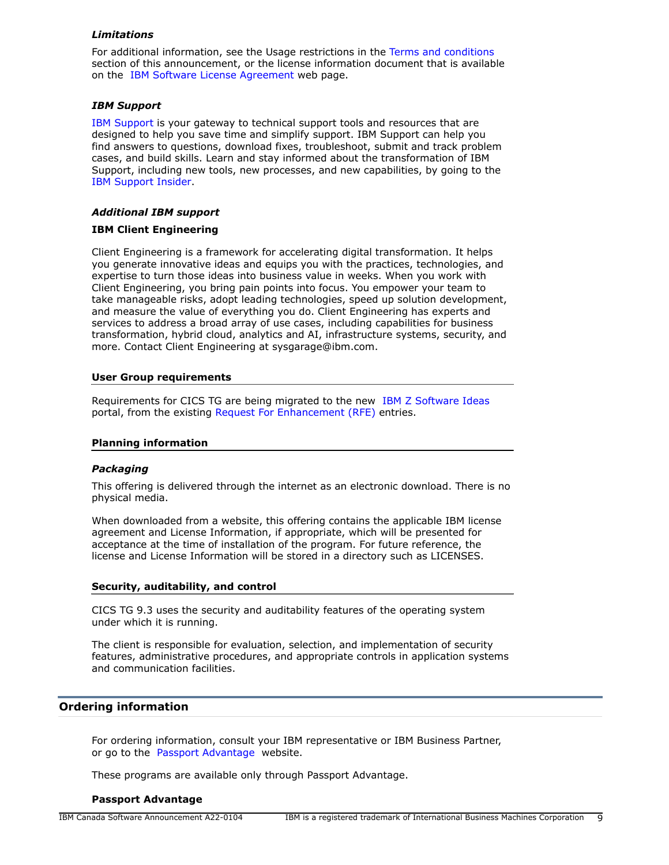# *Limitations*

For additional information, see the Usage restrictions in the [Terms and conditions](#page-11-0) section of this announcement, or the license information document that is available on the [IBM Software License Agreement](https://www.ibm.com/software/sla/sladb.nsf) web page.

#### *IBM Support*

[IBM Support](https://www.ibm.com/support) is your gateway to technical support tools and resources that are designed to help you save time and simplify support. IBM Support can help you find answers to questions, download fixes, troubleshoot, submit and track problem cases, and build skills. Learn and stay informed about the transformation of IBM Support, including new tools, new processes, and new capabilities, by going to the [IBM Support Insider](https://www.ibm.com/support/insider).

# *Additional IBM support*

#### **IBM Client Engineering**

Client Engineering is a framework for accelerating digital transformation. It helps you generate innovative ideas and equips you with the practices, technologies, and expertise to turn those ideas into business value in weeks. When you work with Client Engineering, you bring pain points into focus. You empower your team to take manageable risks, adopt leading technologies, speed up solution development, and measure the value of everything you do. Client Engineering has experts and services to address a broad array of use cases, including capabilities for business transformation, hybrid cloud, analytics and AI, infrastructure systems, security, and more. Contact Client Engineering at sysgarage@ibm.com.

# **User Group requirements**

Requirements for CICS TG are being migrated to the new [IBM Z Software Ideas](https://ibm-z-software-portal.ideas.ibm.com) portal, from the existing [Request For Enhancement \(RFE\)](https://www.ibm.com/developerworks/rfe/) entries.

#### **Planning information**

#### *Packaging*

This offering is delivered through the internet as an electronic download. There is no physical media.

When downloaded from a website, this offering contains the applicable IBM license agreement and License Information, if appropriate, which will be presented for acceptance at the time of installation of the program. For future reference, the license and License Information will be stored in a directory such as LICENSES.

#### **Security, auditability, and control**

CICS TG 9.3 uses the security and auditability features of the operating system under which it is running.

The client is responsible for evaluation, selection, and implementation of security features, administrative procedures, and appropriate controls in application systems and communication facilities.

#### <span id="page-8-0"></span>**Ordering information**

For ordering information, consult your IBM representative or IBM Business Partner, or go to the [Passport Advantage](https://www.ibm.com/software/passportadvantage/) website.

These programs are available only through Passport Advantage.

#### **Passport Advantage**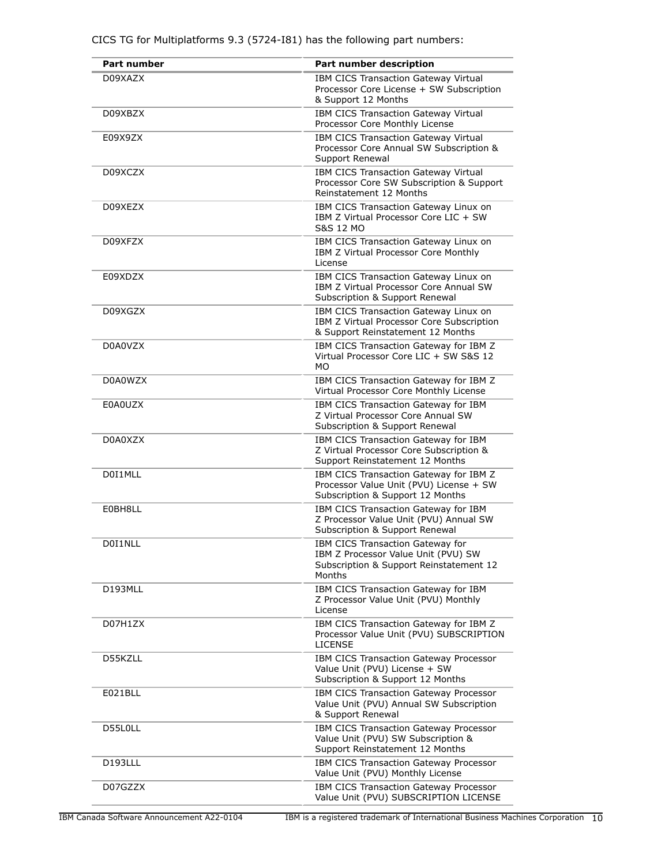| <b>Part number</b> | Part number description                                                                                                      |
|--------------------|------------------------------------------------------------------------------------------------------------------------------|
| D09XAZX            | IBM CICS Transaction Gateway Virtual<br>Processor Core License + SW Subscription<br>& Support 12 Months                      |
| D09XBZX            | IBM CICS Transaction Gateway Virtual<br>Processor Core Monthly License                                                       |
| E09X9ZX            | IBM CICS Transaction Gateway Virtual<br>Processor Core Annual SW Subscription &<br>Support Renewal                           |
| D09XCZX            | IBM CICS Transaction Gateway Virtual<br>Processor Core SW Subscription & Support<br>Reinstatement 12 Months                  |
| D09XEZX            | IBM CICS Transaction Gateway Linux on<br>IBM Z Virtual Processor Core LIC + SW<br>S&S 12 MO                                  |
| D09XFZX            | IBM CICS Transaction Gateway Linux on<br>IBM Z Virtual Processor Core Monthly<br>License                                     |
| E09XDZX            | IBM CICS Transaction Gateway Linux on<br>IBM Z Virtual Processor Core Annual SW<br>Subscription & Support Renewal            |
| D09XGZX            | IBM CICS Transaction Gateway Linux on<br>IBM Z Virtual Processor Core Subscription<br>& Support Reinstatement 12 Months      |
| D0A0VZX            | IBM CICS Transaction Gateway for IBM Z<br>Virtual Processor Core LIC + SW S&S 12<br><b>MO</b>                                |
| D0A0WZX            | IBM CICS Transaction Gateway for IBM Z<br>Virtual Processor Core Monthly License                                             |
| E0A0UZX            | IBM CICS Transaction Gateway for IBM<br>Z Virtual Processor Core Annual SW<br>Subscription & Support Renewal                 |
| D0A0XZX            | IBM CICS Transaction Gateway for IBM<br>Z Virtual Processor Core Subscription &<br>Support Reinstatement 12 Months           |
| D0I1MLL            | IBM CICS Transaction Gateway for IBM Z<br>Processor Value Unit (PVU) License + SW<br>Subscription & Support 12 Months        |
| E0BH8LL            | IBM CICS Transaction Gateway for IBM<br>Z Processor Value Unit (PVU) Annual SW<br>Subscription & Support Renewal             |
| D0I1NLL            | IBM CICS Transaction Gateway for<br>IBM Z Processor Value Unit (PVU) SW<br>Subscription & Support Reinstatement 12<br>Months |
| D193MLL            | IBM CICS Transaction Gateway for IBM<br>Z Processor Value Unit (PVU) Monthly<br>License                                      |
| D07H1ZX            | IBM CICS Transaction Gateway for IBM Z<br>Processor Value Unit (PVU) SUBSCRIPTION<br><b>LICENSE</b>                          |
| D55KZLL            | IBM CICS Transaction Gateway Processor<br>Value Unit (PVU) License + SW<br>Subscription & Support 12 Months                  |
| E021BLL            | IBM CICS Transaction Gateway Processor<br>Value Unit (PVU) Annual SW Subscription<br>& Support Renewal                       |
| D55L0LL            | IBM CICS Transaction Gateway Processor<br>Value Unit (PVU) SW Subscription &<br>Support Reinstatement 12 Months              |
| D193LLL            | IBM CICS Transaction Gateway Processor<br>Value Unit (PVU) Monthly License                                                   |
| D07GZZX            | IBM CICS Transaction Gateway Processor<br>Value Unit (PVU) SUBSCRIPTION LICENSE                                              |

CICS TG for Multiplatforms 9.3 (5724-I81) has the following part numbers: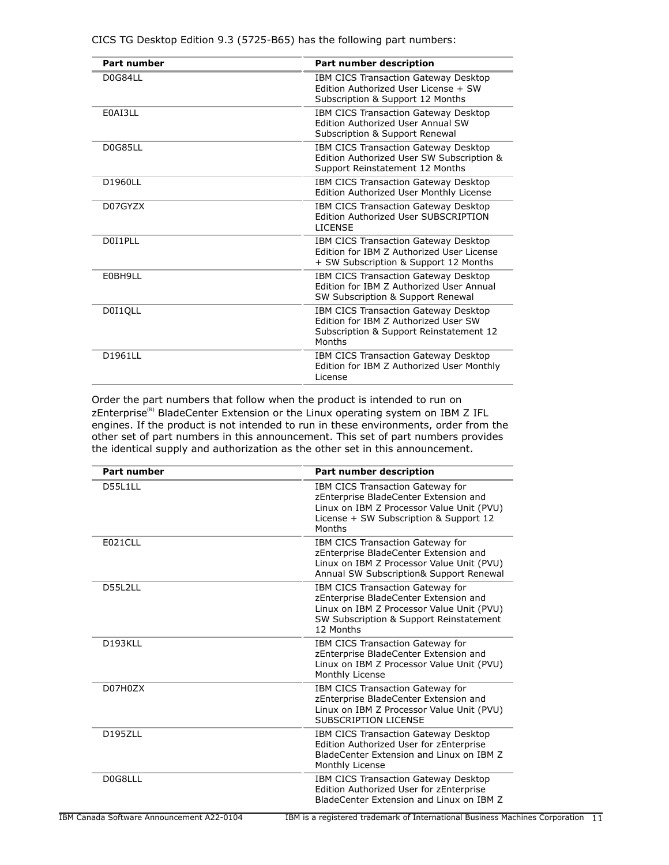| <b>Part number</b> | Part number description                                                                                                           |
|--------------------|-----------------------------------------------------------------------------------------------------------------------------------|
| D0G84LL            | IBM CICS Transaction Gateway Desktop<br>Edition Authorized User License + SW<br>Subscription & Support 12 Months                  |
| E0AI3LL            | IBM CICS Transaction Gateway Desktop<br><b>Edition Authorized User Annual SW</b><br>Subscription & Support Renewal                |
| D0G85LL            | IBM CICS Transaction Gateway Desktop<br>Edition Authorized User SW Subscription &<br>Support Reinstatement 12 Months              |
| D1960LL            | IBM CICS Transaction Gateway Desktop<br>Edition Authorized User Monthly License                                                   |
| D07GYZX            | IBM CICS Transaction Gateway Desktop<br>Edition Authorized User SUBSCRIPTION<br><b>LICENSE</b>                                    |
| D0I1PLL            | IBM CICS Transaction Gateway Desktop<br>Edition for TBM 7 Authorized User License<br>+ SW Subscription & Support 12 Months        |
| F0BH9LL            | IBM CICS Transaction Gateway Desktop<br>Edition for IBM Z Authorized User Annual<br>SW Subscription & Support Renewal             |
| D0I1QLL            | IBM CICS Transaction Gateway Desktop<br>Edition for IBM Z Authorized User SW<br>Subscription & Support Reinstatement 12<br>Months |
| D1961LL            | IBM CICS Transaction Gateway Desktop<br>Edition for IBM Z Authorized User Monthly<br>License                                      |

CICS TG Desktop Edition 9.3 (5725-B65) has the following part numbers:

Order the part numbers that follow when the product is intended to run on zEnterprise<sup>(R)</sup> BladeCenter Extension or the Linux operating system on IBM Z IFL engines. If the product is not intended to run in these environments, order from the other set of part numbers in this announcement. This set of part numbers provides the identical supply and authorization as the other set in this announcement.

| <b>Part number</b> | <b>Part number description</b>                                                                                                                                                 |  |
|--------------------|--------------------------------------------------------------------------------------------------------------------------------------------------------------------------------|--|
| D55L1LL            | IBM CICS Transaction Gateway for<br>zEnterprise BladeCenter Extension and<br>Linux on IBM Z Processor Value Unit (PVU)<br>License + SW Subscription & Support 12<br>Months     |  |
| <b>E021CLL</b>     | IBM CICS Transaction Gateway for<br>zEnterprise BladeCenter Extension and<br>Linux on IBM Z Processor Value Unit (PVU)<br>Annual SW Subscription& Support Renewal              |  |
| D55L2LL            | IBM CICS Transaction Gateway for<br>zEnterprise BladeCenter Extension and<br>Linux on IBM Z Processor Value Unit (PVU)<br>SW Subscription & Support Reinstatement<br>12 Months |  |
| D193KLL            | IBM CICS Transaction Gateway for<br>zEnterprise BladeCenter Extension and<br>Linux on IBM Z Processor Value Unit (PVU)<br>Monthly License                                      |  |
| D07H0ZX            | IBM CICS Transaction Gateway for<br>zEnterprise BladeCenter Extension and<br>Linux on IBM Z Processor Value Unit (PVU)<br><b>SUBSCRIPTION LICENSE</b>                          |  |
| <b>D195ZLL</b>     | IBM CICS Transaction Gateway Desktop<br>Edition Authorized User for zEnterprise<br>BladeCenter Extension and Linux on IBM Z<br>Monthly License                                 |  |
| D0G8LLL            | IBM CICS Transaction Gateway Desktop<br>Edition Authorized User for zEnterprise<br>BladeCenter Extension and Linux on IBM Z                                                    |  |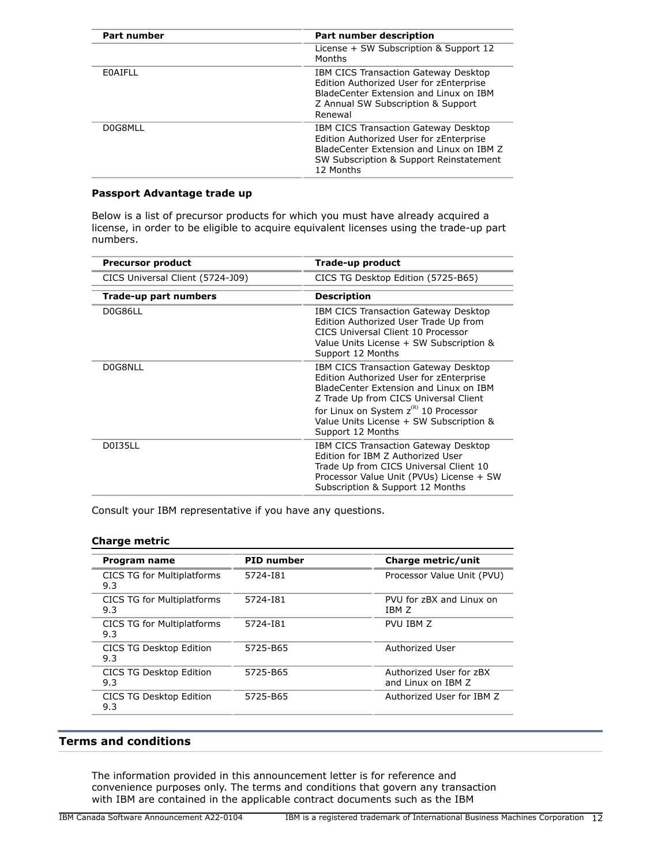| Part number | <b>Part number description</b>                                                                                                                                                      |
|-------------|-------------------------------------------------------------------------------------------------------------------------------------------------------------------------------------|
|             | License + SW Subscription & Support 12<br>Months                                                                                                                                    |
| EOAIFLL     | IBM CICS Transaction Gateway Desktop<br>Edition Authorized User for zEnterprise<br>BladeCenter Extension and Linux on IBM<br>Z Annual SW Subscription & Support<br>Renewal          |
| DOG8MLL     | IBM CICS Transaction Gateway Desktop<br>Edition Authorized User for zEnterprise<br>BladeCenter Extension and Linux on IBM Z<br>SW Subscription & Support Reinstatement<br>12 Months |

# **Passport Advantage trade up**

Below is a list of precursor products for which you must have already acquired a license, in order to be eligible to acquire equivalent licenses using the trade-up part numbers.

| <b>Precursor product</b>         | Trade-up product                                                                                                                                                                                    |
|----------------------------------|-----------------------------------------------------------------------------------------------------------------------------------------------------------------------------------------------------|
| CICS Universal Client (5724-J09) | CICS TG Desktop Edition (5725-B65)                                                                                                                                                                  |
| Trade-up part numbers            | <b>Description</b>                                                                                                                                                                                  |
| D0G86LL                          | IBM CICS Transaction Gateway Desktop<br>Edition Authorized User Trade Up from<br>CICS Universal Client 10 Processor<br>Value Units License + SW Subscription &<br>Support 12 Months                 |
| D0G8NLL                          | IBM CICS Transaction Gateway Desktop<br>Edition Authorized User for zEnterprise<br>BladeCenter Extension and Linux on TBM<br>Z Trade Up from CICS Universal Client                                  |
|                                  | for Linux on System z <sup>(R)</sup> 10 Processor<br>Value Units License + SW Subscription &<br>Support 12 Months                                                                                   |
| <b>D0I35LL</b>                   | IBM CICS Transaction Gateway Desktop<br>Edition for IBM Z Authorized User<br>Trade Up from CICS Universal Client 10<br>Processor Value Unit (PVUs) License + SW<br>Subscription & Support 12 Months |

Consult your IBM representative if you have any questions.

# **Charge metric**

| Program name                             | <b>PID</b> number | Charge metric/unit                            |
|------------------------------------------|-------------------|-----------------------------------------------|
| <b>CICS TG for Multiplatforms</b><br>9.3 | 5724-181          | Processor Value Unit (PVU)                    |
| CICS TG for Multiplatforms<br>9.3        | 5724-181          | PVU for zBX and Linux on<br>TBM 7             |
| CICS TG for Multiplatforms<br>9.3        | 5724-181          | PVU IBM Z                                     |
| CICS TG Desktop Edition<br>9.3           | 5725-B65          | Authorized User                               |
| CICS TG Desktop Edition<br>9.3           | 5725-B65          | Authorized User for zBX<br>and Linux on TBM 7 |
| CICS TG Desktop Edition<br>9.3           | 5725-B65          | Authorized User for TBM 7                     |
|                                          |                   |                                               |

# <span id="page-11-0"></span>**Terms and conditions**

The information provided in this announcement letter is for reference and convenience purposes only. The terms and conditions that govern any transaction with IBM are contained in the applicable contract documents such as the IBM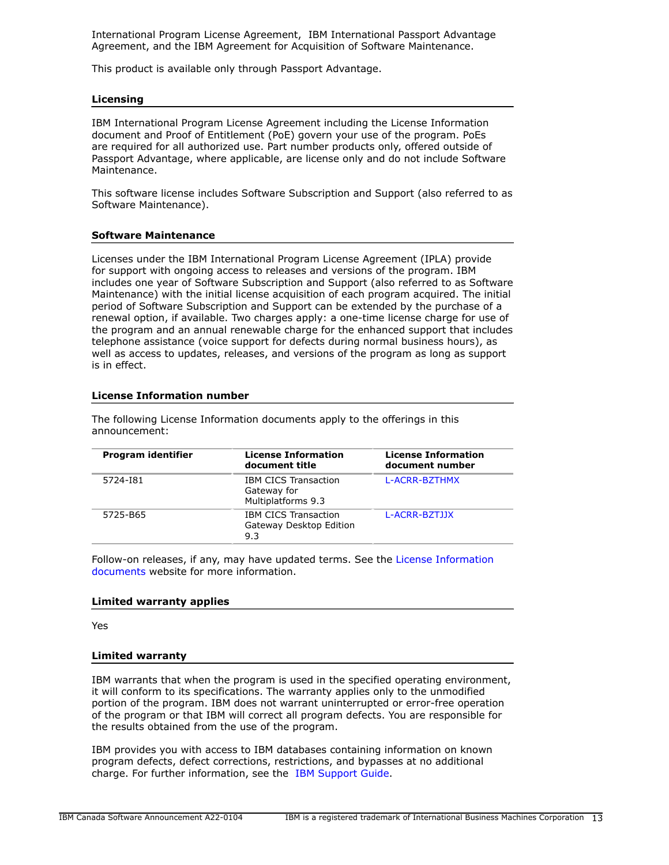International Program License Agreement, IBM International Passport Advantage Agreement, and the IBM Agreement for Acquisition of Software Maintenance.

This product is available only through Passport Advantage.

# **Licensing**

IBM International Program License Agreement including the License Information document and Proof of Entitlement (PoE) govern your use of the program. PoEs are required for all authorized use. Part number products only, offered outside of Passport Advantage, where applicable, are license only and do not include Software Maintenance.

This software license includes Software Subscription and Support (also referred to as Software Maintenance).

# **Software Maintenance**

Licenses under the IBM International Program License Agreement (IPLA) provide for support with ongoing access to releases and versions of the program. IBM includes one year of Software Subscription and Support (also referred to as Software Maintenance) with the initial license acquisition of each program acquired. The initial period of Software Subscription and Support can be extended by the purchase of a renewal option, if available. Two charges apply: a one-time license charge for use of the program and an annual renewable charge for the enhanced support that includes telephone assistance (voice support for defects during normal business hours), as well as access to updates, releases, and versions of the program as long as support is in effect.

# **License Information number**

| Program identifier | <b>License Information</b><br>document title                     | <b>License Information</b><br>document number |
|--------------------|------------------------------------------------------------------|-----------------------------------------------|
| 5724-181           | <b>IBM CICS Transaction</b><br>Gateway for<br>Multiplatforms 9.3 | L-ACRR-BZTHMX                                 |
| 5725-B65           | <b>IBM CICS Transaction</b><br>Gateway Desktop Edition<br>9.3    | L-ACRR-BZTJJX                                 |

The following License Information documents apply to the offerings in this announcement:

Follow-on releases, if any, may have updated terms. See the [License Information](https://www.ibm.com/software/sla/sladb.nsf/search?OpenForm) [documents](https://www.ibm.com/software/sla/sladb.nsf/search?OpenForm) website for more information.

#### **Limited warranty applies**

Yes

#### **Limited warranty**

IBM warrants that when the program is used in the specified operating environment, it will conform to its specifications. The warranty applies only to the unmodified portion of the program. IBM does not warrant uninterrupted or error-free operation of the program or that IBM will correct all program defects. You are responsible for the results obtained from the use of the program.

IBM provides you with access to IBM databases containing information on known program defects, defect corrections, restrictions, and bypasses at no additional charge. For further information, see the [IBM Support Guide](http://www.ibm.com/support/customercare/sas/f/handbook/home.html).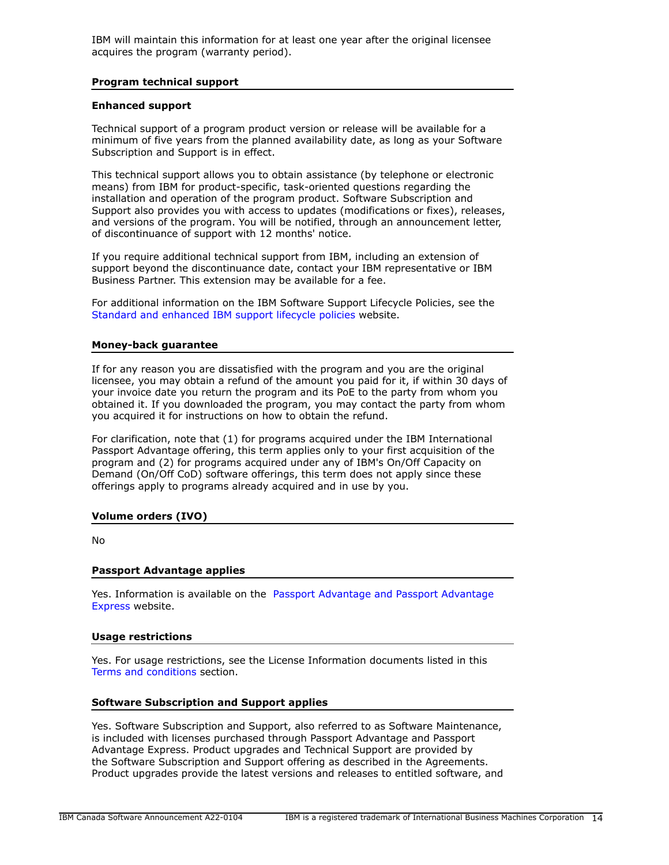IBM will maintain this information for at least one year after the original licensee acquires the program (warranty period).

#### **Program technical support**

#### **Enhanced support**

Technical support of a program product version or release will be available for a minimum of five years from the planned availability date, as long as your Software Subscription and Support is in effect.

This technical support allows you to obtain assistance (by telephone or electronic means) from IBM for product-specific, task-oriented questions regarding the installation and operation of the program product. Software Subscription and Support also provides you with access to updates (modifications or fixes), releases, and versions of the program. You will be notified, through an announcement letter, of discontinuance of support with 12 months' notice.

If you require additional technical support from IBM, including an extension of support beyond the discontinuance date, contact your IBM representative or IBM Business Partner. This extension may be available for a fee.

For additional information on the IBM Software Support Lifecycle Policies, see the [Standard and enhanced IBM support lifecycle policies](http://www.ibm.com/software/support/lifecycle/lc-policy.html) website.

# **Money-back guarantee**

If for any reason you are dissatisfied with the program and you are the original licensee, you may obtain a refund of the amount you paid for it, if within 30 days of your invoice date you return the program and its PoE to the party from whom you obtained it. If you downloaded the program, you may contact the party from whom you acquired it for instructions on how to obtain the refund.

For clarification, note that (1) for programs acquired under the IBM International Passport Advantage offering, this term applies only to your first acquisition of the program and (2) for programs acquired under any of IBM's On/Off Capacity on Demand (On/Off CoD) software offerings, this term does not apply since these offerings apply to programs already acquired and in use by you.

# **Volume orders (IVO)**

No

# **Passport Advantage applies**

Yes. Information is available on the [Passport Advantage and Passport Advantage](http://www.ibm.com/software/passportadvantage) [Express](http://www.ibm.com/software/passportadvantage) website.

#### **Usage restrictions**

Yes. For usage restrictions, see the License Information documents listed in this [Terms and conditions](#page-11-0) section.

#### **Software Subscription and Support applies**

Yes. Software Subscription and Support, also referred to as Software Maintenance, is included with licenses purchased through Passport Advantage and Passport Advantage Express. Product upgrades and Technical Support are provided by the Software Subscription and Support offering as described in the Agreements. Product upgrades provide the latest versions and releases to entitled software, and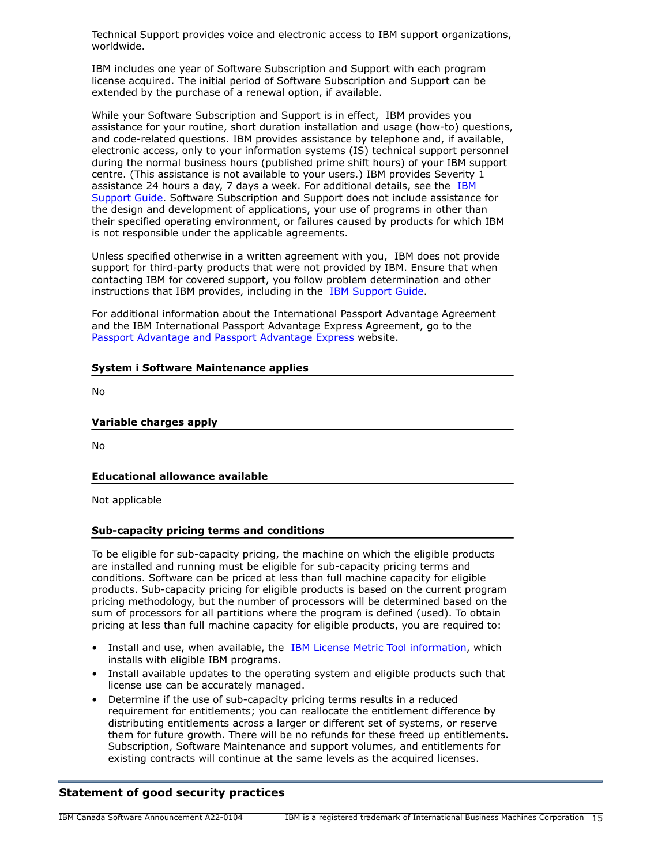Technical Support provides voice and electronic access to IBM support organizations, worldwide.

IBM includes one year of Software Subscription and Support with each program license acquired. The initial period of Software Subscription and Support can be extended by the purchase of a renewal option, if available.

While your Software Subscription and Support is in effect, IBM provides you assistance for your routine, short duration installation and usage (how-to) questions, and code-related questions. IBM provides assistance by telephone and, if available, electronic access, only to your information systems (IS) technical support personnel during the normal business hours (published prime shift hours) of your IBM support centre. (This assistance is not available to your users.) IBM provides Severity 1 assistance 24 hours a day, 7 days a week. For additional details, see the [IBM](http://www.ibm.com/support/customercare/sas/f/handbook/home.html) [Support Guide](http://www.ibm.com/support/customercare/sas/f/handbook/home.html). Software Subscription and Support does not include assistance for the design and development of applications, your use of programs in other than their specified operating environment, or failures caused by products for which IBM is not responsible under the applicable agreements.

Unless specified otherwise in a written agreement with you, IBM does not provide support for third-party products that were not provided by IBM. Ensure that when contacting IBM for covered support, you follow problem determination and other instructions that IBM provides, including in the [IBM Support Guide.](http://www.ibm.com/support/customercare/sas/f/handbook/home.html)

For additional information about the International Passport Advantage Agreement and the IBM International Passport Advantage Express Agreement, go to the [Passport Advantage and Passport Advantage Express](http://www.ibm.com/software/passportadvantage) website.

|  |  | <b>System i Software Maintenance applies</b> |  |
|--|--|----------------------------------------------|--|
|--|--|----------------------------------------------|--|

No

# **Variable charges apply**

No

# **Educational allowance available**

Not applicable

#### **Sub-capacity pricing terms and conditions**

To be eligible for sub-capacity pricing, the machine on which the eligible products are installed and running must be eligible for sub-capacity pricing terms and conditions. Software can be priced at less than full machine capacity for eligible products. Sub-capacity pricing for eligible products is based on the current program pricing methodology, but the number of processors will be determined based on the sum of processors for all partitions where the program is defined (used). To obtain pricing at less than full machine capacity for eligible products, you are required to:

- Install and use, when available, the [IBM License Metric Tool information](https://www.ibm.com/software/passportadvantage/ibmlicensemetrictool.html), which installs with eligible IBM programs.
- Install available updates to the operating system and eligible products such that license use can be accurately managed.
- Determine if the use of sub-capacity pricing terms results in a reduced requirement for entitlements; you can reallocate the entitlement difference by distributing entitlements across a larger or different set of systems, or reserve them for future growth. There will be no refunds for these freed up entitlements. Subscription, Software Maintenance and support volumes, and entitlements for existing contracts will continue at the same levels as the acquired licenses.

# **Statement of good security practices**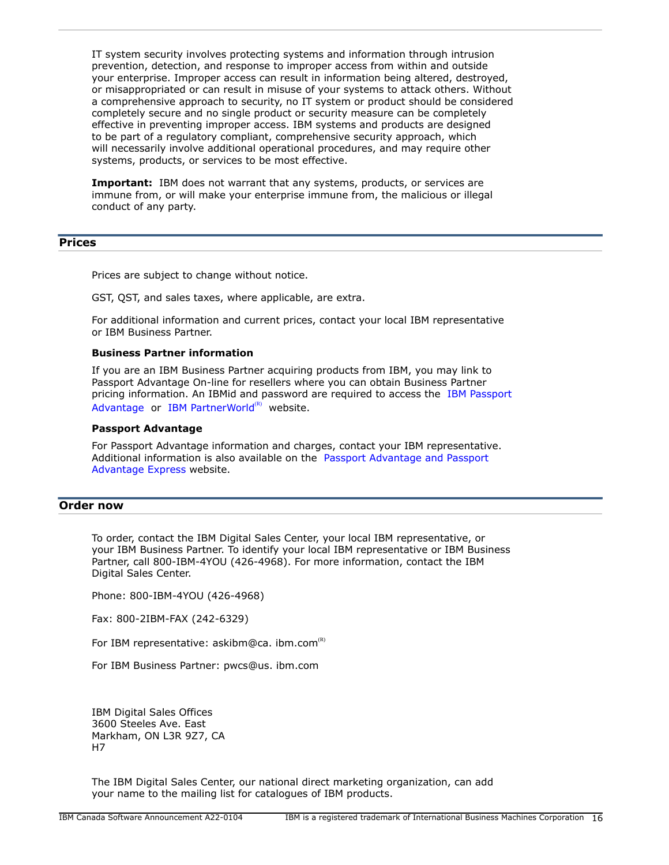IT system security involves protecting systems and information through intrusion prevention, detection, and response to improper access from within and outside your enterprise. Improper access can result in information being altered, destroyed, or misappropriated or can result in misuse of your systems to attack others. Without a comprehensive approach to security, no IT system or product should be considered completely secure and no single product or security measure can be completely effective in preventing improper access. IBM systems and products are designed to be part of a regulatory compliant, comprehensive security approach, which will necessarily involve additional operational procedures, and may require other systems, products, or services to be most effective.

**Important:** IBM does not warrant that any systems, products, or services are immune from, or will make your enterprise immune from, the malicious or illegal conduct of any party.

# <span id="page-15-0"></span>**Prices**

Prices are subject to change without notice.

GST, QST, and sales taxes, where applicable, are extra.

For additional information and current prices, contact your local IBM representative or IBM Business Partner.

#### **Business Partner information**

If you are an IBM Business Partner acquiring products from IBM, you may link to Passport Advantage On-line for resellers where you can obtain Business Partner pricing information. An IBMid and password are required to access the [IBM Passport](https://www.ibm.com/software/passportadvantage/pao_reseller.html) [Advantage](https://www.ibm.com/software/passportadvantage/pao_reseller.html) or [IBM PartnerWorld](https://www.ibm.com/partnerworld/resources/sell) $(R)$  website.

#### **Passport Advantage**

For Passport Advantage information and charges, contact your IBM representative. Additional information is also available on the [Passport Advantage and Passport](http://www.ibm.com/software/passportadvantage) [Advantage Express](http://www.ibm.com/software/passportadvantage) website.

# <span id="page-15-1"></span>**Order now**

To order, contact the IBM Digital Sales Center, your local IBM representative, or your IBM Business Partner. To identify your local IBM representative or IBM Business Partner, call 800-IBM-4YOU (426-4968). For more information, contact the IBM Digital Sales Center.

Phone: 800-IBM-4YOU (426-4968)

Fax: 800-2IBM-FAX (242-6329)

For IBM representative: askibm@ca. ibm.com<sup>(R)</sup>

For IBM Business Partner: pwcs@us. ibm.com

IBM Digital Sales Offices 3600 Steeles Ave. East Markham, ON L3R 9Z7, CA H7

The IBM Digital Sales Center, our national direct marketing organization, can add your name to the mailing list for catalogues of IBM products.